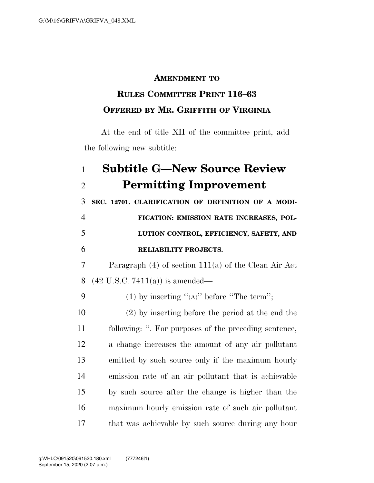## **AMENDMENT TO**

## **RULES COMMITTEE PRINT 116–63 OFFERED BY MR. GRIFFITH OF VIRGINIA**

At the end of title XII of the committee print, add the following new subtitle:

## **Subtitle G—New Source Review Permitting Improvement**

 **SEC. 12701. CLARIFICATION OF DEFINITION OF A MODI- FICATION: EMISSION RATE INCREASES, POL- LUTION CONTROL, EFFICIENCY, SAFETY, AND RELIABILITY PROJECTS.** 

 Paragraph (4) of section 111(a) of the Clean Air Act (42 U.S.C. 7411(a)) is amended—

9 (1) by inserting " $(A)$ " before "The term";

 (2) by inserting before the period at the end the following: ''. For purposes of the preceding sentence, a change increases the amount of any air pollutant emitted by such source only if the maximum hourly emission rate of an air pollutant that is achievable by such source after the change is higher than the maximum hourly emission rate of such air pollutant that was achievable by such source during any hour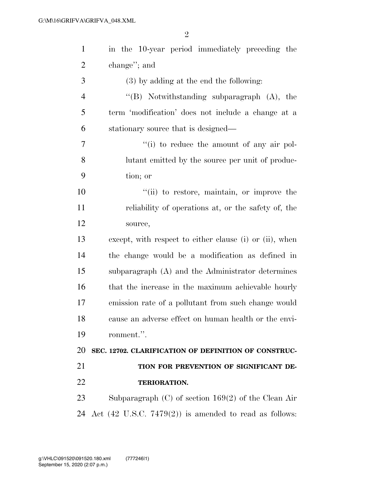| $\mathbf{1}$   | in the 10-year period immediately preceding the                   |
|----------------|-------------------------------------------------------------------|
| $\overline{2}$ | change"; and                                                      |
| 3              | (3) by adding at the end the following:                           |
| $\overline{4}$ | "(B) Notwithstanding subparagraph $(A)$ , the                     |
| 5              | term 'modification' does not include a change at a                |
| 6              | stationary source that is designed—                               |
| 7              | "(i) to reduce the amount of any air pol-                         |
| 8              | lutant emitted by the source per unit of produc-                  |
| 9              | tion; or                                                          |
| 10             | "(ii) to restore, maintain, or improve the                        |
| 11             | reliability of operations at, or the safety of, the               |
| 12             | source,                                                           |
| 13             | except, with respect to either clause (i) or (ii), when           |
| 14             | the change would be a modification as defined in                  |
| 15             | subparagraph (A) and the Administrator determines                 |
| 16             | that the increase in the maximum achievable hourly                |
| 17             | emission rate of a pollutant from such change would               |
| 18             | cause an adverse effect on human health or the envi-              |
| 19             | ronment.".                                                        |
| 20             | SEC. 12702. CLARIFICATION OF DEFINITION OF CONSTRUC-              |
| 21             | TION FOR PREVENTION OF SIGNIFICANT DE-                            |
| 22             | TERIORATION.                                                      |
| 23             | Subparagraph $(C)$ of section 169(2) of the Clean Air             |
| 24             | Act $(42 \text{ U.S.C. } 7479(2))$ is amended to read as follows: |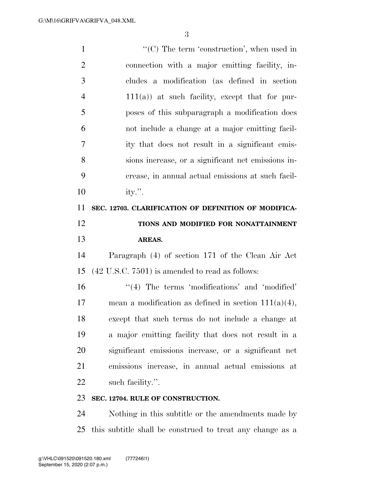$\lq\lq$  (C) The term 'construction', when used in connection with a major emitting facility, in- cludes a modification (as defined in section 111(a)) at such facility, except that for pur- poses of this subparagraph a modification does not include a change at a major emitting facil- ity that does not result in a significant emis- sions increase, or a significant net emissions in- crease, in annual actual emissions at such facil- ity.''. **SEC. 12703. CLARIFICATION OF DEFINITION OF MODIFICA- TIONS AND MODIFIED FOR NONATTAINMENT AREAS.**  Paragraph (4) of section 171 of the Clean Air Act (42 U.S.C. 7501) is amended to read as follows: 16 ''(4) The terms 'modifications' and 'modified' 17 mean a modification as defined in section  $111(a)(4)$ , except that such terms do not include a change at a major emitting facility that does not result in a significant emissions increase, or a significant net emissions increase, in annual actual emissions at such facility.''. **SEC. 12704. RULE OF CONSTRUCTION.** 

 Nothing in this subtitle or the amendments made by this subtitle shall be construed to treat any change as a